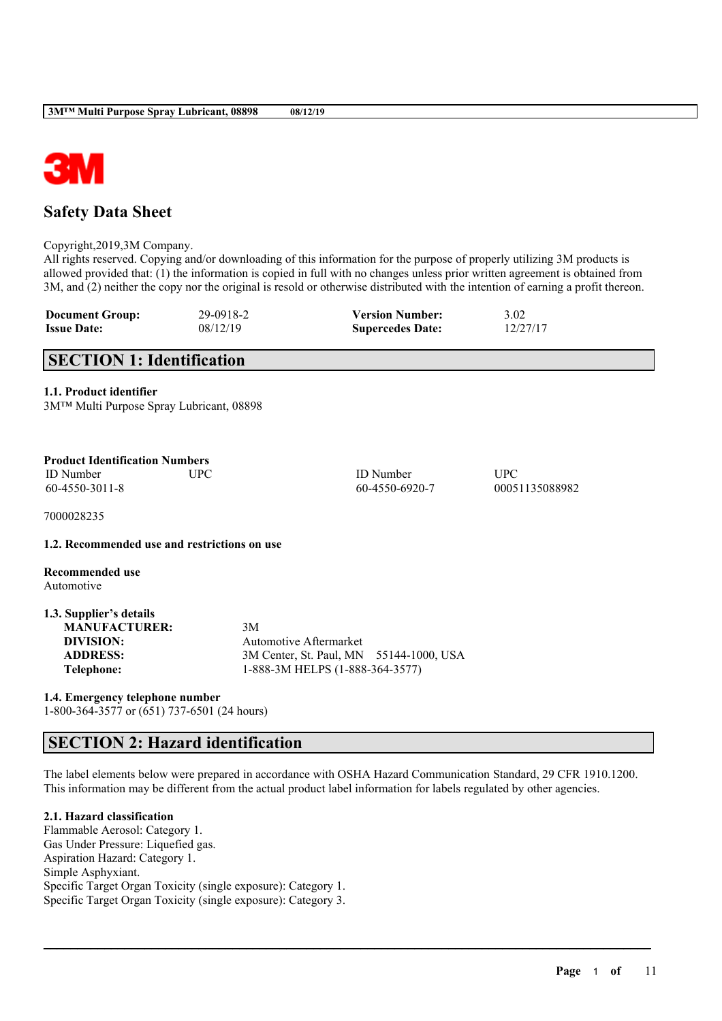

# **Safety Data Sheet**

Copyright,2019,3M Company.

All rights reserved. Copying and/or downloading of this information for the purpose of properly utilizing 3M products is allowed provided that: (1) the information is copied in full with no changes unless prior written agreement is obtained from 3M, and (2) neither the copy nor the original is resold or otherwise distributed with the intention of earning a profit thereon.

| <b>Document Group:</b> | 29-0918-2 | <b>Version Number:</b>  | 3.02     |
|------------------------|-----------|-------------------------|----------|
| <b>Issue Date:</b>     | 08/12/19  | <b>Supercedes Date:</b> | 12/27/17 |

# **SECTION 1: Identification**

## **1.1. Product identifier**

| 3M™ Multi Purpose Spray Lubricant, 08898 |  |  |
|------------------------------------------|--|--|
|------------------------------------------|--|--|

| 3M <sup>TM</sup> Multi Purpose Spray Lubricant, 08898                                                |                                                                                                            |                              |
|------------------------------------------------------------------------------------------------------|------------------------------------------------------------------------------------------------------------|------------------------------|
| <b>Product Identification Numbers</b><br><b>ID</b> Number<br><b>UPC</b><br>60-4550-3011-8            | <b>ID</b> Number<br>60-4550-6920-7                                                                         | <b>UPC</b><br>00051135088982 |
| 7000028235                                                                                           |                                                                                                            |                              |
| 1.2. Recommended use and restrictions on use                                                         |                                                                                                            |                              |
| Recommended use<br>Automotive                                                                        |                                                                                                            |                              |
| 1.3. Supplier's details<br><b>MANUFACTURER:</b><br>DIVISION:<br><b>ADDRESS:</b><br><b>Telephone:</b> | 3M<br>Automotive Aftermarket<br>3M Center, St. Paul, MN 55144-1000, USA<br>1-888-3M HELPS (1-888-364-3577) |                              |

**1.4. Emergency telephone number**

1-800-364-3577 or (651) 737-6501 (24 hours)

# **SECTION 2: Hazard identification**

The label elements below were prepared in accordance with OSHA Hazard Communication Standard, 29 CFR 1910.1200. This information may be different from the actual product label information for labels regulated by other agencies.

 $\mathcal{L}_\mathcal{L} = \mathcal{L}_\mathcal{L} = \mathcal{L}_\mathcal{L} = \mathcal{L}_\mathcal{L} = \mathcal{L}_\mathcal{L} = \mathcal{L}_\mathcal{L} = \mathcal{L}_\mathcal{L} = \mathcal{L}_\mathcal{L} = \mathcal{L}_\mathcal{L} = \mathcal{L}_\mathcal{L} = \mathcal{L}_\mathcal{L} = \mathcal{L}_\mathcal{L} = \mathcal{L}_\mathcal{L} = \mathcal{L}_\mathcal{L} = \mathcal{L}_\mathcal{L} = \mathcal{L}_\mathcal{L} = \mathcal{L}_\mathcal{L}$ 

# **2.1. Hazard classification**

Flammable Aerosol: Category 1. Gas Under Pressure: Liquefied gas. Aspiration Hazard: Category 1. Simple Asphyxiant. Specific Target Organ Toxicity (single exposure): Category 1. Specific Target Organ Toxicity (single exposure): Category 3.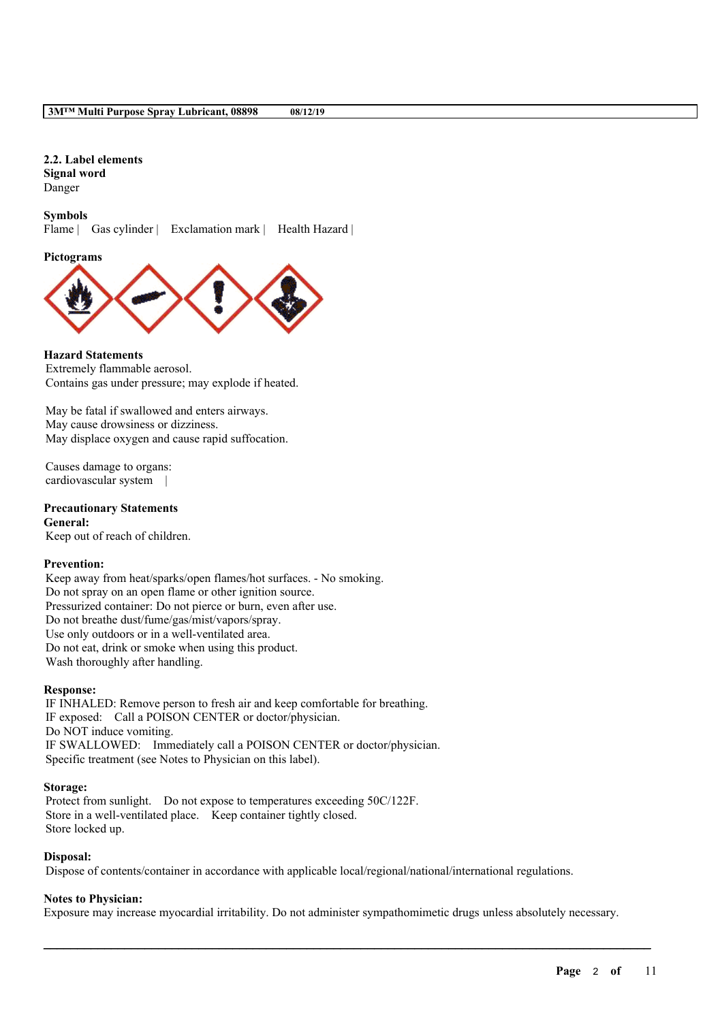**2.2. Label elements Signal word** Danger

**Symbols**

Flame | Gas cylinder | Exclamation mark | Health Hazard |

#### **Pictograms**



**Hazard Statements** Extremely flammable aerosol. Contains gas under pressure; may explode if heated.

May be fatal if swallowed and enters airways. May cause drowsiness or dizziness. May displace oxygen and cause rapid suffocation.

Causes damage to organs: cardiovascular system |

**Precautionary Statements General:** Keep out of reach of children.

### **Prevention:**

Keep away from heat/sparks/open flames/hot surfaces. - No smoking. Do not spray on an open flame or other ignition source. Pressurized container: Do not pierce or burn, even after use. Do not breathe dust/fume/gas/mist/vapors/spray. Use only outdoors or in a well-ventilated area. Do not eat, drink or smoke when using this product. Wash thoroughly after handling.

### **Response:**

IF INHALED: Remove person to fresh air and keep comfortable for breathing. IF exposed: Call a POISON CENTER or doctor/physician. Do NOT induce vomiting. IF SWALLOWED: Immediately call a POISON CENTER or doctor/physician. Specific treatment (see Notes to Physician on this label).

#### **Storage:**

Protect from sunlight. Do not expose to temperatures exceeding 50C/122F. Store in a well-ventilated place. Keep container tightly closed. Store locked up.

### **Disposal:**

Dispose of contents/container in accordance with applicable local/regional/national/international regulations.

## **Notes to Physician:**

Exposure may increase myocardial irritability. Do not administer sympathomimetic drugs unless absolutely necessary.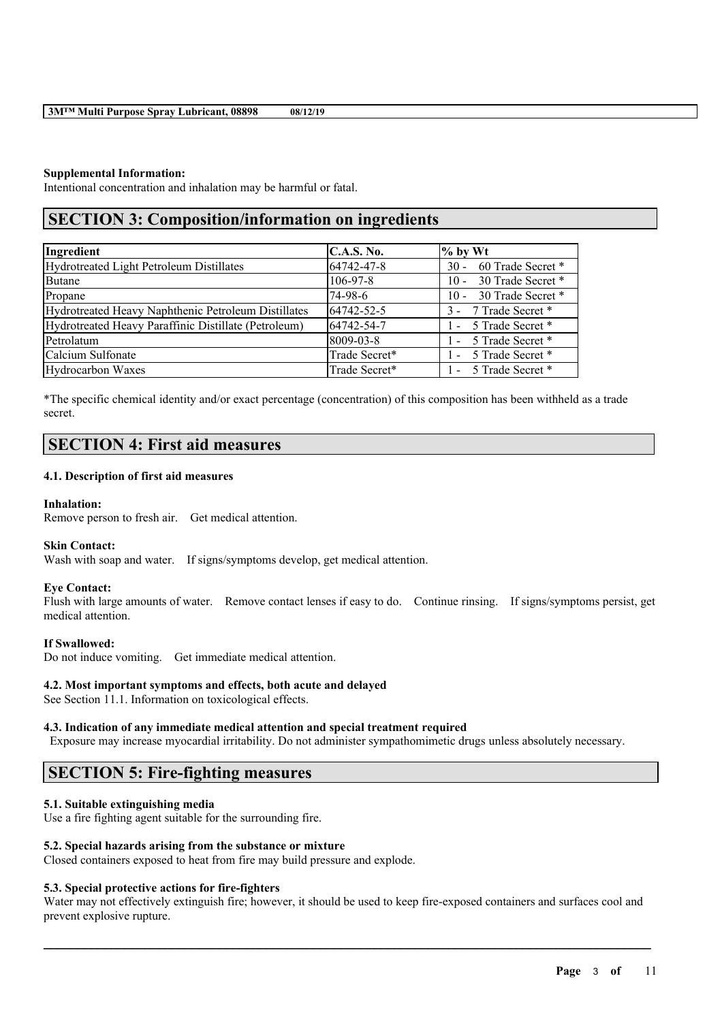## **Supplemental Information:**

Intentional concentration and inhalation may be harmful or fatal.

# **SECTION 3: Composition/information on ingredients**

| Ingredient                                           | <b>C.A.S. No.</b> | $%$ by Wt                   |
|------------------------------------------------------|-------------------|-----------------------------|
| Hydrotreated Light Petroleum Distillates             | 64742-47-8        | 60 Trade Secret *<br>$30 -$ |
| <b>Butane</b>                                        | 106-97-8          | 30 Trade Secret *<br>$10 -$ |
| Propane                                              | 74-98-6           | 30 Trade Secret *<br>$10 -$ |
| Hydrotreated Heavy Naphthenic Petroleum Distillates  | 64742-52-5        | 3 - 7 Trade Secret *        |
| Hydrotreated Heavy Paraffinic Distillate (Petroleum) | 64742-54-7        | 1 - 5 Trade Secret *        |
| Petrolatum                                           | 8009-03-8         | 1 - 5 Trade Secret *        |
| Calcium Sulfonate                                    | Trade Secret*     | 1 - 5 Trade Secret *        |
| Hydrocarbon Waxes                                    | Trade Secret*     | 1 - 5 Trade Secret *        |

\*The specific chemical identity and/or exact percentage (concentration) of this composition has been withheld as a trade secret.

# **SECTION 4: First aid measures**

### **4.1. Description of first aid measures**

### **Inhalation:**

Remove person to fresh air. Get medical attention.

### **Skin Contact:**

Wash with soap and water. If signs/symptoms develop, get medical attention.

### **Eye Contact:**

Flush with large amounts of water. Remove contact lenses if easy to do. Continue rinsing. If signs/symptoms persist, get medical attention.

### **If Swallowed:**

Do not induce vomiting. Get immediate medical attention.

## **4.2. Most important symptoms and effects, both acute and delayed**

See Section 11.1. Information on toxicological effects.

## **4.3. Indication of any immediate medical attention and special treatment required**

Exposure may increase myocardial irritability. Do not administer sympathomimetic drugs unless absolutely necessary.

# **SECTION 5: Fire-fighting measures**

## **5.1. Suitable extinguishing media**

Use a fire fighting agent suitable for the surrounding fire.

### **5.2. Special hazards arising from the substance or mixture**

Closed containers exposed to heat from fire may build pressure and explode.

### **5.3. Special protective actions for fire-fighters**

Water may not effectively extinguish fire; however, it should be used to keep fire-exposed containers and surfaces cool and prevent explosive rupture.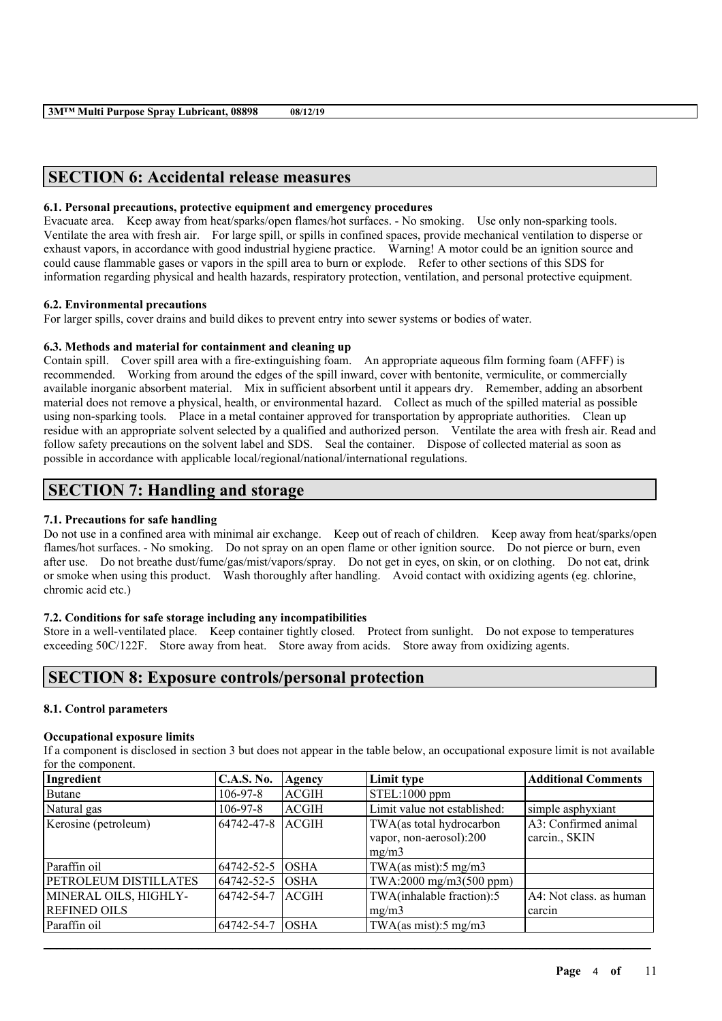# **SECTION 6: Accidental release measures**

### **6.1. Personal precautions, protective equipment and emergency procedures**

Evacuate area. Keep away from heat/sparks/open flames/hot surfaces. - No smoking. Use only non-sparking tools. Ventilate the area with fresh air. For large spill, or spills in confined spaces, provide mechanical ventilation to disperse or exhaust vapors, in accordance with good industrial hygiene practice. Warning! A motor could be an ignition source and could cause flammable gases or vapors in the spill area to burn or explode. Refer to other sections of this SDS for information regarding physical and health hazards, respiratory protection, ventilation, and personal protective equipment.

## **6.2. Environmental precautions**

For larger spills, cover drains and build dikes to prevent entry into sewer systems or bodies of water.

## **6.3. Methods and material for containment and cleaning up**

Contain spill. Cover spill area with a fire-extinguishing foam. An appropriate aqueous film forming foam (AFFF) is recommended. Working from around the edges of the spill inward, cover with bentonite, vermiculite, or commercially available inorganic absorbent material. Mix in sufficient absorbent until it appears dry. Remember, adding an absorbent material does not remove a physical, health, or environmental hazard. Collect as much of the spilled material as possible using non-sparking tools. Place in a metal container approved for transportation by appropriate authorities. Clean up residue with an appropriate solvent selected by a qualified and authorized person. Ventilate the area with fresh air. Read and follow safety precautions on the solvent label and SDS. Seal the container. Dispose of collected material as soon as possible in accordance with applicable local/regional/national/international regulations.

# **SECTION 7: Handling and storage**

## **7.1. Precautions for safe handling**

Do not use in a confined area with minimal air exchange. Keep out of reach of children. Keep away from heat/sparks/open flames/hot surfaces. - No smoking. Do not spray on an open flame or other ignition source. Do not pierce or burn, even after use. Do not breathe dust/fume/gas/mist/vapors/spray. Do not get in eyes, on skin, or on clothing. Do not eat, drink or smoke when using this product. Wash thoroughly after handling. Avoid contact with oxidizing agents (eg. chlorine, chromic acid etc.)

## **7.2. Conditions for safe storage including any incompatibilities**

Store in a well-ventilated place. Keep container tightly closed. Protect from sunlight. Do not expose to temperatures exceeding 50C/122F. Store away from heat. Store away from acids. Store away from oxidizing agents.

# **SECTION 8: Exposure controls/personal protection**

## **8.1. Control parameters**

### **Occupational exposure limits**

If a component is disclosed in section 3 but does not appear in the table below, an occupational exposure limit is not available for the component.

| Ingredient            | <b>C.A.S. No.</b> | Agency       | Limit type                                       | <b>Additional Comments</b> |
|-----------------------|-------------------|--------------|--------------------------------------------------|----------------------------|
| Butane                | $106 - 97 - 8$    | ACGIH        | STEL:1000 ppm                                    |                            |
| Natural gas           | $106 - 97 - 8$    | <b>ACGIH</b> | Limit value not established:                     | simple asphyxiant          |
| Kerosine (petroleum)  | 64742-47-8        | <b>ACGIH</b> | A3: Confirmed animal<br>TWA(as total hydrocarbon |                            |
|                       |                   |              | vapor, non-aerosol):200                          | carcin., SKIN              |
|                       |                   |              | mg/m3                                            |                            |
| Paraffin oil          | 64742-52-5        | <b>OSHA</b>  | TWA(as mist):5 mg/m3                             |                            |
| PETROLEUM DISTILLATES | 64742-52-5        | <b>OSHA</b>  | TWA:2000 mg/m3(500 ppm)                          |                            |
| MINERAL OILS, HIGHLY- | 64742-54-7        | <b>ACGIH</b> | TWA(inhalable fraction):5                        | A4: Not class. as human    |
| <b>REFINED OILS</b>   |                   |              | mg/m3                                            | l carcin                   |
| Paraffin oil          | 64742-54-7        | <b>OSHA</b>  | TWA(as mist):5 mg/m3                             |                            |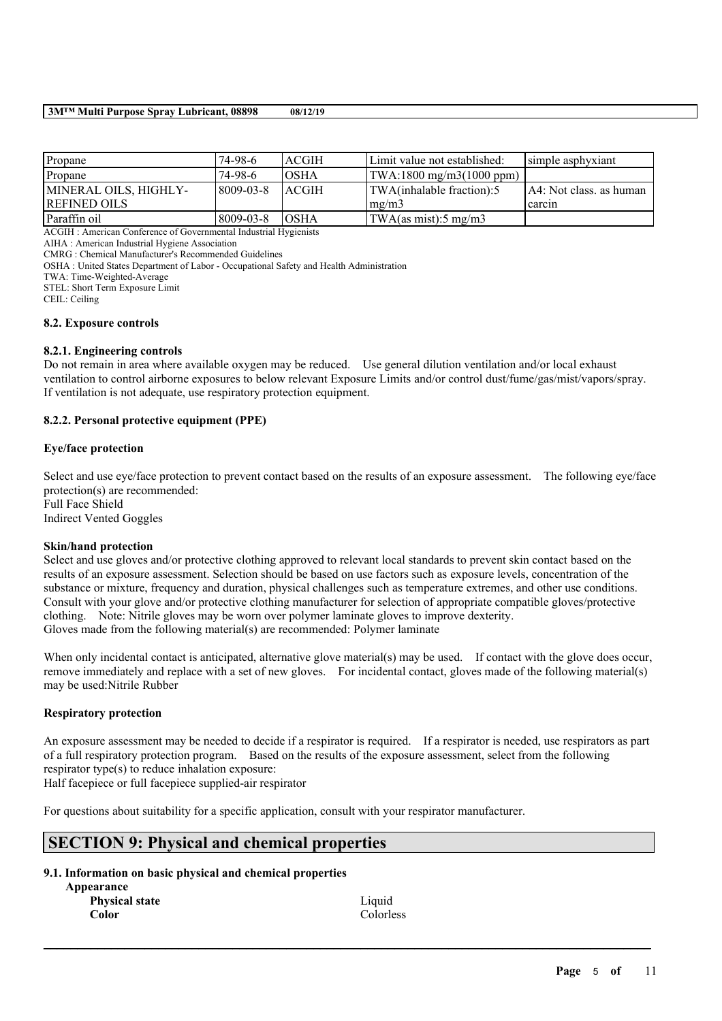### **3M™ Multi Purpose Spray Lubricant, 08898 08/12/19**

| Propane               | $74-98-6$       | <b>ACGIH</b>  | Limit value not established:                                   | simple asphyxiant         |
|-----------------------|-----------------|---------------|----------------------------------------------------------------|---------------------------|
| Propane               | $74-98-6$       | IOSHA         | $\text{TWA}:1800 \text{ mg/m}3(1000 \text{ ppm})$              |                           |
| MINERAL OILS, HIGHLY- | $8009 - 03 - 8$ | <b>LACGIH</b> | TWA(inhalable fraction):5                                      | [A4: Not class, as human] |
| <b>REFINED OILS</b>   |                 |               | $\left \frac{mg}{m^2}\right $                                  | l carcin                  |
| Paraffin oil          | 8009-03-8       | <b>OSHA</b>   | $\text{TWA}\left(\text{as mist}\right):5 \text{ mg}/\text{m}3$ |                           |

ACGIH : American Conference of Governmental Industrial Hygienists

AIHA : American Industrial Hygiene Association

CMRG : Chemical Manufacturer's Recommended Guidelines

OSHA : United States Department of Labor - Occupational Safety and Health Administration

TWA: Time-Weighted-Average

STEL: Short Term Exposure Limit

CEIL: Ceiling

### **8.2. Exposure controls**

### **8.2.1. Engineering controls**

Do not remain in area where available oxygen may be reduced. Use general dilution ventilation and/or local exhaust ventilation to control airborne exposures to below relevant Exposure Limits and/or control dust/fume/gas/mist/vapors/spray. If ventilation is not adequate, use respiratory protection equipment.

### **8.2.2. Personal protective equipment (PPE)**

### **Eye/face protection**

Select and use eve/face protection to prevent contact based on the results of an exposure assessment. The following eve/face protection(s) are recommended: Full Face Shield Indirect Vented Goggles

### **Skin/hand protection**

Select and use gloves and/or protective clothing approved to relevant local standards to prevent skin contact based on the results of an exposure assessment. Selection should be based on use factors such as exposure levels, concentration of the substance or mixture, frequency and duration, physical challenges such as temperature extremes, and other use conditions. Consult with your glove and/or protective clothing manufacturer for selection of appropriate compatible gloves/protective clothing. Note: Nitrile gloves may be worn over polymer laminate gloves to improve dexterity. Gloves made from the following material(s) are recommended: Polymer laminate

When only incidental contact is anticipated, alternative glove material(s) may be used. If contact with the glove does occur, remove immediately and replace with a set of new gloves. For incidental contact, gloves made of the following material(s) may be used:Nitrile Rubber

### **Respiratory protection**

An exposure assessment may be needed to decide if a respirator is required. If a respirator is needed, use respirators as part of a full respiratory protection program. Based on the results of the exposure assessment, select from the following respirator type(s) to reduce inhalation exposure:

 $\mathcal{L}_\mathcal{L} = \mathcal{L}_\mathcal{L} = \mathcal{L}_\mathcal{L} = \mathcal{L}_\mathcal{L} = \mathcal{L}_\mathcal{L} = \mathcal{L}_\mathcal{L} = \mathcal{L}_\mathcal{L} = \mathcal{L}_\mathcal{L} = \mathcal{L}_\mathcal{L} = \mathcal{L}_\mathcal{L} = \mathcal{L}_\mathcal{L} = \mathcal{L}_\mathcal{L} = \mathcal{L}_\mathcal{L} = \mathcal{L}_\mathcal{L} = \mathcal{L}_\mathcal{L} = \mathcal{L}_\mathcal{L} = \mathcal{L}_\mathcal{L}$ 

Half facepiece or full facepiece supplied-air respirator

For questions about suitability for a specific application, consult with your respirator manufacturer.

# **SECTION 9: Physical and chemical properties**

### **9.1. Information on basic physical and chemical properties**

| Appearance            |  |  |  |
|-----------------------|--|--|--|
| <b>Physical state</b> |  |  |  |
| Color                 |  |  |  |

Liquid Colorless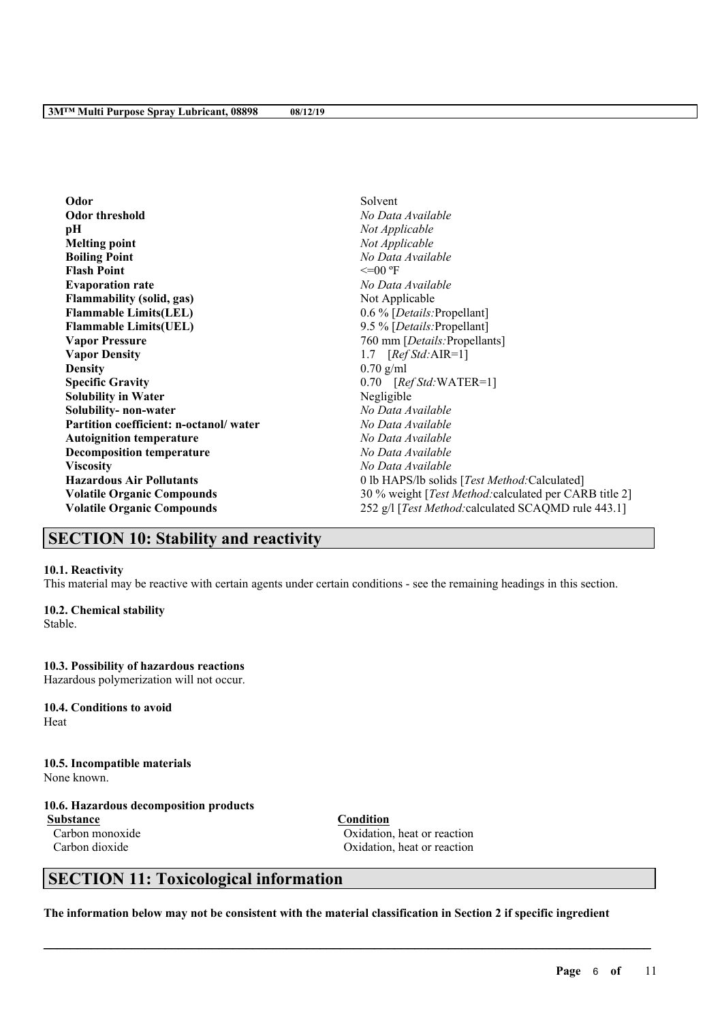| Odor                                   | Solvent                                                        |
|----------------------------------------|----------------------------------------------------------------|
| <b>Odor threshold</b>                  | No Data Available                                              |
| pН                                     | Not Applicable                                                 |
| <b>Melting point</b>                   | Not Applicable                                                 |
| <b>Boiling Point</b>                   | No Data Available                                              |
| <b>Flash Point</b>                     | $\leq$ =00 °F                                                  |
| <b>Evaporation rate</b>                | No Data Available                                              |
| <b>Flammability (solid, gas)</b>       | Not Applicable                                                 |
| <b>Flammable Limits(LEL)</b>           | 0.6 % [Details: Propellant]                                    |
| <b>Flammable Limits(UEL)</b>           | 9.5 % [Details: Propellant]                                    |
| <b>Vapor Pressure</b>                  | 760 mm [Details: Propellants]                                  |
| <b>Vapor Density</b>                   | 1.7 $[RefStd:AIR=1]$                                           |
| <b>Density</b>                         | $0.70$ g/ml                                                    |
| <b>Specific Gravity</b>                | $0.70$ [ <i>Ref Std:</i> WATER=1]                              |
| <b>Solubility in Water</b>             | Negligible                                                     |
| Solubility- non-water                  | No Data Available                                              |
| Partition coefficient: n-octanol/water | No Data Available                                              |
| <b>Autoignition temperature</b>        | No Data Available                                              |
| <b>Decomposition temperature</b>       | No Data Available                                              |
| <b>Viscosity</b>                       | No Data Available                                              |
| <b>Hazardous Air Pollutants</b>        | 0 lb HAPS/lb solids [Test Method: Calculated]                  |
| <b>Volatile Organic Compounds</b>      | 30 % weight [ <i>Test Method:calculated per CARB title 2</i> ] |
| <b>Volatile Organic Compounds</b>      | 252 g/l [ <i>Test Method:calculated SCAQMD rule 443.1</i> ]    |

# **SECTION 10: Stability and reactivity**

### **10.1. Reactivity**

This material may be reactive with certain agents under certain conditions - see the remaining headings in this section.

## **10.2. Chemical stability**

Stable.

## **10.3. Possibility of hazardous reactions**

Hazardous polymerization will not occur.

**10.4. Conditions to avoid** Heat

**10.5. Incompatible materials** None known.

# **10.6. Hazardous decomposition products**

**Substance Condition**

Carbon monoxide Oxidation, heat or reaction Carbon dioxide Carbon dioxide Carbon dioxide Carbon dioxide Carbon dioxide Carbon dioxide Carbon dioxide Carbon dioxide Carbon dioxide Carbon dioxide Carbon dioxide Carbon dioxide Carbon dioxide Carbon dioxide Carbon dioxi

# **SECTION 11: Toxicological information**

The information below may not be consistent with the material classification in Section 2 if specific ingredient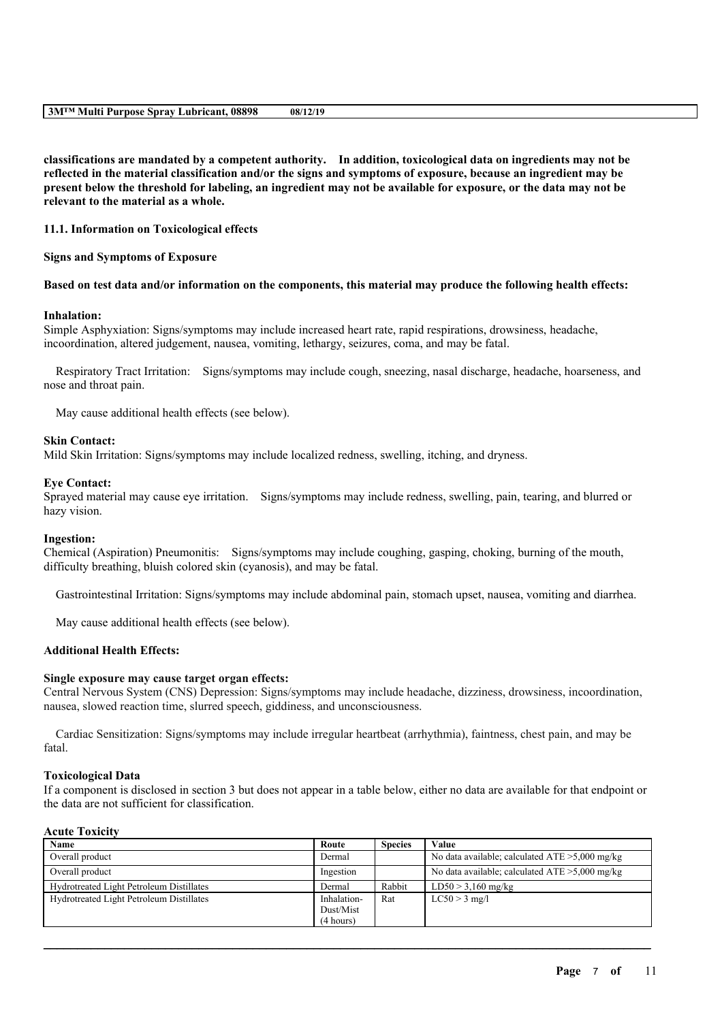|--|

**classifications are mandated by a competent authority. In addition, toxicological data on ingredients may not be** reflected in the material classification and/or the signs and symptoms of exposure, because an ingredient may be present below the threshold for labeling, an ingredient may not be available for exposure, or the data may not be **relevant to the material as a whole.**

**11.1. Information on Toxicological effects**

**Signs and Symptoms of Exposure**

Based on test data and/or information on the components, this material may produce the following health effects:

#### **Inhalation:**

Simple Asphyxiation: Signs/symptoms may include increased heart rate, rapid respirations, drowsiness, headache, incoordination, altered judgement, nausea, vomiting, lethargy, seizures, coma, and may be fatal.

Respiratory Tract Irritation: Signs/symptoms may include cough, sneezing, nasal discharge, headache, hoarseness, and nose and throat pain.

May cause additional health effects (see below).

#### **Skin Contact:**

Mild Skin Irritation: Signs/symptoms may include localized redness, swelling, itching, and dryness.

#### **Eye Contact:**

Sprayed material may cause eye irritation. Signs/symptoms may include redness, swelling, pain, tearing, and blurred or hazy vision.

#### **Ingestion:**

Chemical (Aspiration) Pneumonitis: Signs/symptoms may include coughing, gasping, choking, burning of the mouth, difficulty breathing, bluish colored skin (cyanosis), and may be fatal.

Gastrointestinal Irritation: Signs/symptoms may include abdominal pain, stomach upset, nausea, vomiting and diarrhea.

May cause additional health effects (see below).

### **Additional Health Effects:**

### **Single exposure may cause target organ effects:**

Central Nervous System (CNS) Depression: Signs/symptoms may include headache, dizziness, drowsiness, incoordination, nausea, slowed reaction time, slurred speech, giddiness, and unconsciousness.

Cardiac Sensitization: Signs/symptoms may include irregular heartbeat (arrhythmia), faintness, chest pain, and may be fatal.

### **Toxicological Data**

If a component is disclosed in section 3 but does not appear in a table below, either no data are available for that endpoint or the data are not sufficient for classification.

### **Acute Toxicity**

| Name                                     | Route       | <b>Species</b> | Value                                             |
|------------------------------------------|-------------|----------------|---------------------------------------------------|
| Overall product                          | Dermal      |                | No data available; calculated $ATE > 5,000$ mg/kg |
| Overall product                          | Ingestion   |                | No data available; calculated $ATE > 5,000$ mg/kg |
| Hydrotreated Light Petroleum Distillates | Dermal      | Rabbit         | $LD50 > 3,160$ mg/kg                              |
| Hydrotreated Light Petroleum Distillates | Inhalation- | Rat            | $LC50 > 3$ mg/l                                   |
|                                          | Dust/Mist   |                |                                                   |
|                                          | (4 hours)   |                |                                                   |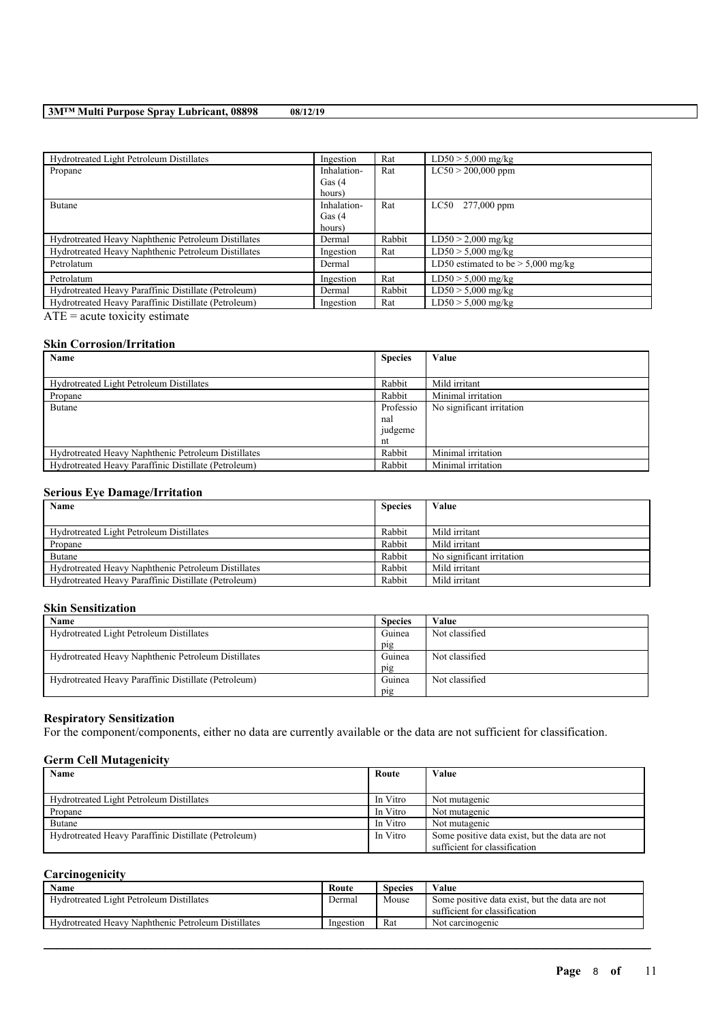### **3M™ Multi Purpose Spray Lubricant, 08898 08/12/19**

| Hydrotreated Light Petroleum Distillates             | Ingestion   | Rat    | $LD50 > 5,000$ mg/kg                 |
|------------------------------------------------------|-------------|--------|--------------------------------------|
| Propane                                              | Inhalation- | Rat    | $LC50 > 200,000$ ppm                 |
|                                                      | Gas $(4)$   |        |                                      |
|                                                      | hours)      |        |                                      |
| <b>Butane</b>                                        | Inhalation- | Rat    | LC50 277,000 ppm                     |
|                                                      | Gas $(4)$   |        |                                      |
|                                                      | hours)      |        |                                      |
| Hydrotreated Heavy Naphthenic Petroleum Distillates  | Dermal      | Rabbit | $LD50 > 2,000$ mg/kg                 |
| Hydrotreated Heavy Naphthenic Petroleum Distillates  | Ingestion   | Rat    | $LD50 > 5,000$ mg/kg                 |
| Petrolatum                                           | Dermal      |        | LD50 estimated to be $> 5,000$ mg/kg |
| Petrolatum                                           | Ingestion   | Rat    | $LD50 > 5,000$ mg/kg                 |
| Hydrotreated Heavy Paraffinic Distillate (Petroleum) | Dermal      | Rabbit | $LD50 > 5,000$ mg/kg                 |
| Hydrotreated Heavy Paraffinic Distillate (Petroleum) | Ingestion   | Rat    | $LD50 > 5,000$ mg/kg                 |
|                                                      |             |        |                                      |

 $\overline{ATE}$  = acute toxicity estimate

# **Skin Corrosion/Irritation**

| Name                                                 | <b>Species</b> | Value                     |
|------------------------------------------------------|----------------|---------------------------|
|                                                      |                |                           |
| Hydrotreated Light Petroleum Distillates             | Rabbit         | Mild irritant             |
| Propane                                              | Rabbit         | Minimal irritation        |
| Butane                                               | Professio      | No significant irritation |
|                                                      | nal            |                           |
|                                                      | judgeme        |                           |
|                                                      | nt             |                           |
| Hydrotreated Heavy Naphthenic Petroleum Distillates  | Rabbit         | Minimal irritation        |
| Hydrotreated Heavy Paraffinic Distillate (Petroleum) | Rabbit         | Minimal irritation        |

### **Serious Eye Damage/Irritation**

| Name<br><b>Species</b>                               |        | Value                     |
|------------------------------------------------------|--------|---------------------------|
|                                                      |        |                           |
| Hydrotreated Light Petroleum Distillates             | Rabbit | Mild irritant             |
| Propane                                              | Rabbit | Mild irritant             |
| Butane                                               | Rabbit | No significant irritation |
| Hydrotreated Heavy Naphthenic Petroleum Distillates  | Rabbit | Mild irritant             |
| Hydrotreated Heavy Paraffinic Distillate (Petroleum) | Rabbit | Mild irritant             |

### **Skin Sensitization**

| Name                                                 | <b>Species</b> | Value          |
|------------------------------------------------------|----------------|----------------|
| Hydrotreated Light Petroleum Distillates             | Guinea         | Not classified |
|                                                      | pig            |                |
| Hydrotreated Heavy Naphthenic Petroleum Distillates  | Guinea         | Not classified |
|                                                      | pig            |                |
| Hydrotreated Heavy Paraffinic Distillate (Petroleum) | Guinea         | Not classified |
|                                                      | pig            |                |

# **Respiratory Sensitization**

For the component/components, either no data are currently available or the data are not sufficient for classification.

# **Germ Cell Mutagenicity**

| <b>Name</b>                                          | Route    | Value                                          |
|------------------------------------------------------|----------|------------------------------------------------|
|                                                      |          |                                                |
| Hydrotreated Light Petroleum Distillates             | In Vitro | Not mutagenic                                  |
| Propane                                              | In Vitro | Not mutagenic                                  |
| Butane                                               | In Vitro | Not mutagenic                                  |
| Hydrotreated Heavy Paraffinic Distillate (Petroleum) | In Vitro | Some positive data exist, but the data are not |
|                                                      |          | sufficient for classification                  |

# **Carcinogenicity**

| Name                                                | Route     | <b>Species</b> | Value                                                                           |
|-----------------------------------------------------|-----------|----------------|---------------------------------------------------------------------------------|
| Hydrotreated Light Petroleum Distillates            | Dermal    | Mouse          | Some positive data exist, but the data are not<br>sufficient for classification |
| Hydrotreated Heavy Naphthenic Petroleum Distillates | Ingestion | Rat            | Not carcinogenic                                                                |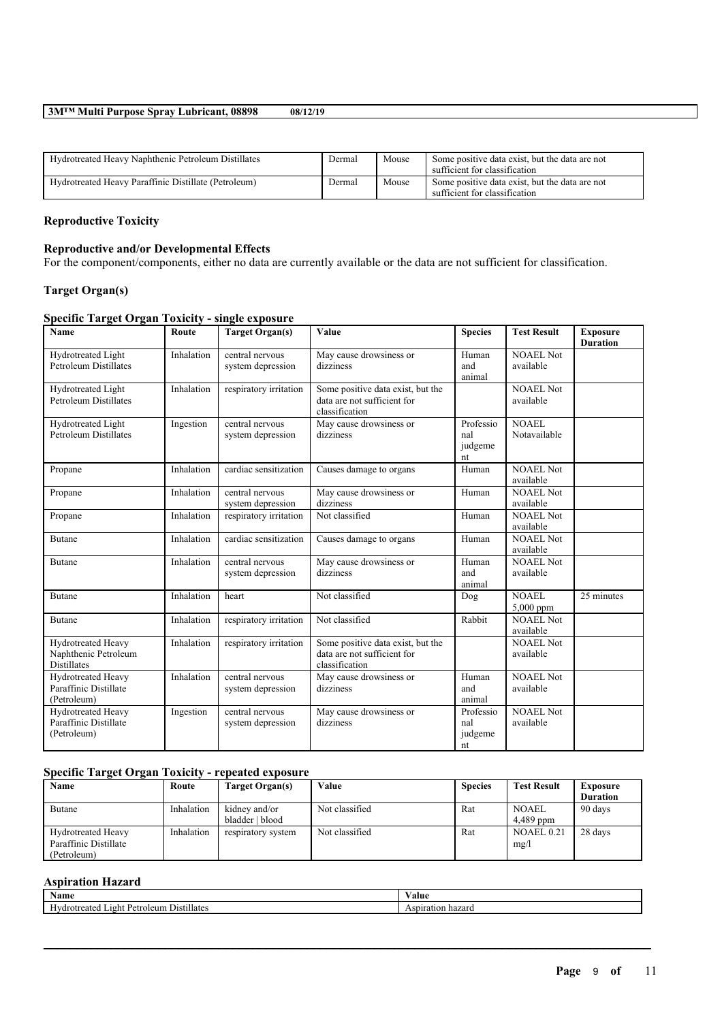### **3M™ Multi Purpose Spray Lubricant, 08898 08/12/19**

| Hydrotreated Heavy Naphthenic Petroleum Distillates  | Dermal | Mouse | Some positive data exist, but the data are not<br>sufficient for classification |
|------------------------------------------------------|--------|-------|---------------------------------------------------------------------------------|
| Hydrotreated Heavy Paraffinic Distillate (Petroleum) | Dermal | Mouse | Some positive data exist, but the data are not<br>sufficient for classification |

# **Reproductive Toxicity**

# **Reproductive and/or Developmental Effects**

For the component/components, either no data are currently available or the data are not sufficient for classification.

# **Target Organ(s)**

# **Specific Target Organ Toxicity - single exposure**

| Name                                                              | Route      | <b>Target Organ(s)</b>               | Value                                                                              | <b>Species</b>                    | <b>Test Result</b>            | <b>Exposure</b><br><b>Duration</b> |
|-------------------------------------------------------------------|------------|--------------------------------------|------------------------------------------------------------------------------------|-----------------------------------|-------------------------------|------------------------------------|
| Hydrotreated Light<br><b>Petroleum Distillates</b>                | Inhalation | central nervous<br>system depression | May cause drowsiness or<br>dizziness                                               | Human<br>and<br>animal            | <b>NOAEL Not</b><br>available |                                    |
| Hydrotreated Light<br><b>Petroleum Distillates</b>                | Inhalation | respiratory irritation               | Some positive data exist, but the<br>data are not sufficient for<br>classification |                                   | <b>NOAEL Not</b><br>available |                                    |
| Hydrotreated Light<br><b>Petroleum Distillates</b>                | Ingestion  | central nervous<br>system depression | May cause drowsiness or<br>dizziness                                               | Professio<br>nal<br>judgeme<br>nt | NOAEL<br>Notavailable         |                                    |
| Propane                                                           | Inhalation | cardiac sensitization                | Causes damage to organs                                                            | Human                             | <b>NOAEL Not</b><br>available |                                    |
| Propane                                                           | Inhalation | central nervous<br>system depression | May cause drowsiness or<br>dizziness                                               | Human                             | <b>NOAEL Not</b><br>available |                                    |
| Propane                                                           | Inhalation | respiratory irritation               | Not classified                                                                     | Human                             | <b>NOAEL Not</b><br>available |                                    |
| Butane                                                            | Inhalation | cardiac sensitization                | Causes damage to organs                                                            | Human                             | <b>NOAEL Not</b><br>available |                                    |
| Butane                                                            | Inhalation | central nervous<br>system depression | May cause drowsiness or<br>dizziness                                               | Human<br>and<br>animal            | <b>NOAEL Not</b><br>available |                                    |
| Butane                                                            | Inhalation | heart                                | Not classified                                                                     | Dog                               | <b>NOAEL</b><br>5,000 ppm     | 25 minutes                         |
| Butane                                                            | Inhalation | respiratory irritation               | Not classified                                                                     | Rabbit                            | <b>NOAEL Not</b><br>available |                                    |
| Hydrotreated Heavy<br>Naphthenic Petroleum<br><b>Distillates</b>  | Inhalation | respiratory irritation               | Some positive data exist, but the<br>data are not sufficient for<br>classification |                                   | <b>NOAEL Not</b><br>available |                                    |
| Hydrotreated Heavy<br>Paraffinic Distillate<br>(Petroleum)        | Inhalation | central nervous<br>system depression | May cause drowsiness or<br>dizziness                                               | Human<br>and<br>animal            | <b>NOAEL Not</b><br>available |                                    |
| <b>Hydrotreated Heavy</b><br>Paraffinic Distillate<br>(Petroleum) | Ingestion  | central nervous<br>system depression | May cause drowsiness or<br>dizziness                                               | Professio<br>nal<br>judgeme<br>nt | <b>NOAEL Not</b><br>available |                                    |

# **Specific Target Organ Toxicity - repeated exposure**

| Name                      | Route      | Target Organ(s)    | Value          | <b>Species</b> | <b>Test Result</b> | <b>Exposure</b> |
|---------------------------|------------|--------------------|----------------|----------------|--------------------|-----------------|
|                           |            |                    |                |                |                    | <b>Duration</b> |
| Butane                    | Inhalation | kidney and/or      | Not classified | Rat            | <b>NOAEL</b>       | 90 days         |
|                           |            | bladder   blood    |                |                | 4,489 ppm          |                 |
| <b>Hydrotreated Heavy</b> | Inhalation | respiratory system | Not classified | Rat            | NOAEL 0.21         | 28 days         |
| Paraffinic Distillate     |            |                    |                |                | mg/l               |                 |
| (Petroleum)               |            |                    |                |                |                    |                 |

# **Aspiration Hazard**

| Name                                             | 'alue                |
|--------------------------------------------------|----------------------|
| <br>Distillate:<br>Petroleum<br>eated<br>. 12 ht | Aspiration<br>hazaro |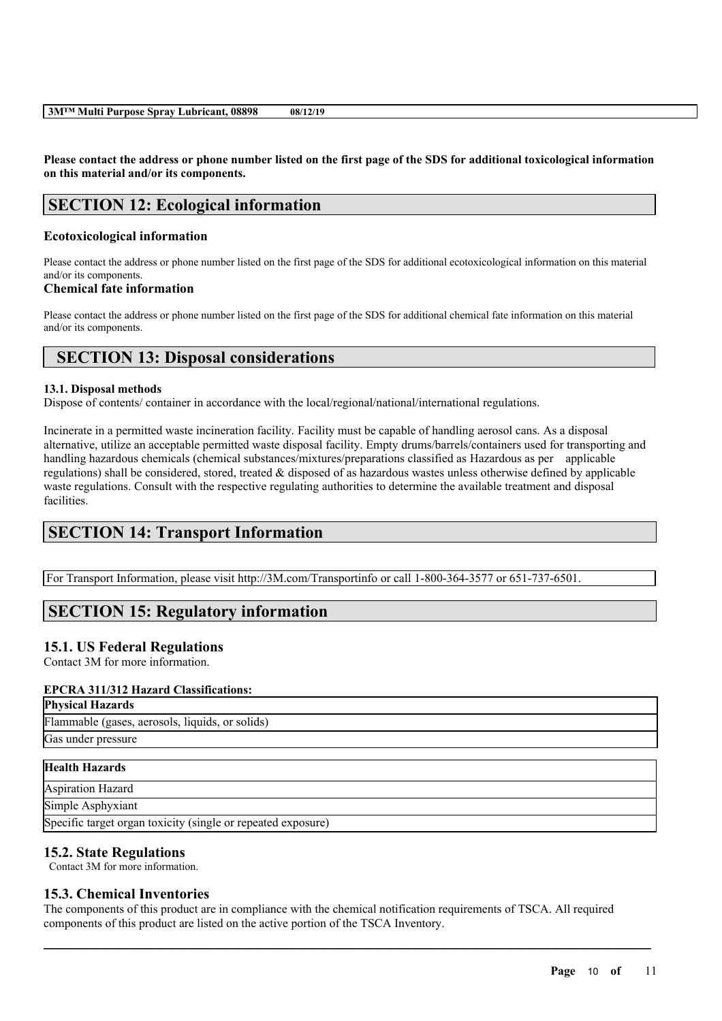Please contact the address or phone number listed on the first page of the SDS for additional toxicological information **on this material and/or its components.**

# **SECTION 12: Ecological information**

# **Ecotoxicological information**

Please contact the address or phone number listed on the first page of the SDS for additional ecotoxicological information on this material and/or its components.

## **Chemical fate information**

Please contact the address or phone number listed on the first page of the SDS for additional chemical fate information on this material and/or its components.

# **SECTION 13: Disposal considerations**

## **13.1. Disposal methods**

Dispose of contents/ container in accordance with the local/regional/national/international regulations.

Incinerate in a permitted waste incineration facility. Facility must be capable of handling aerosol cans. As a disposal alternative, utilize an acceptable permitted waste disposal facility. Empty drums/barrels/containers used for transporting and handling hazardous chemicals (chemical substances/mixtures/preparations classified as Hazardous as per applicable regulations) shall be considered, stored, treated & disposed of as hazardous wastes unless otherwise defined by applicable waste regulations. Consult with the respective regulating authorities to determine the available treatment and disposal facilities.

# **SECTION 14: Transport Information**

For Transport Information, please visit http://3M.com/Transportinfo or call 1-800-364-3577 or 651-737-6501.

# **SECTION 15: Regulatory information**

# **15.1. US Federal Regulations**

Contact 3M for more information.

## **EPCRA 311/312 Hazard Classifications:**

**Physical Hazards** Flammable (gases, aerosols, liquids, or solids) Gas under pressure **Health Hazards**

# Aspiration Hazard

Simple Asphyxiant

Specific target organ toxicity (single or repeated exposure)

# **15.2. State Regulations**

Contact 3M for more information.

# **15.3. Chemical Inventories**

The components of this product are in compliance with the chemical notification requirements of TSCA. All required components of this product are listed on the active portion of the TSCA Inventory.